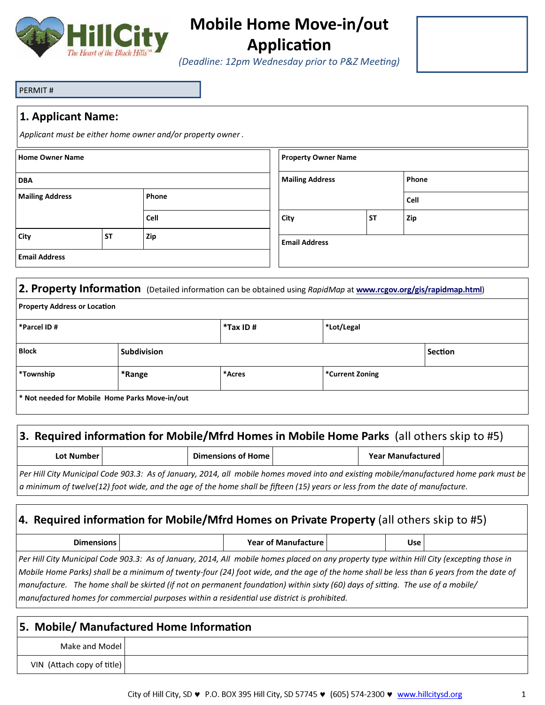

# Mobile Home Move-in/out Application

(Deadline: 12pm Wednesday prior to P&Z Meeting)

#### PERMIT #

#### 1. Applicant Name:

Applicant must be either home owner and/or property owner .

| <b>Home Owner Name</b> |           |       | <b>Property Owner Name</b> |           |       |
|------------------------|-----------|-------|----------------------------|-----------|-------|
| <b>DBA</b>             |           |       | <b>Mailing Address</b>     |           | Phone |
| <b>Mailing Address</b> |           | Phone |                            |           | Cell  |
|                        |           | Cell  | City                       | <b>ST</b> | Zip   |
| <b>City</b>            | <b>ST</b> | Zip   | <b>Email Address</b>       |           |       |
| <b>Email Address</b>   |           |       |                            |           |       |

### 2. Property Information (Detailed information can be obtained using RapidMap at www.rcgov.org/gis/rapidmap.html)

| <b>Property Address or Location</b> |                                                           |             |                 |                |
|-------------------------------------|-----------------------------------------------------------|-------------|-----------------|----------------|
| *Parcel ID #                        |                                                           | $*$ Tax ID# | *Lot/Legal      |                |
| <b>Block</b>                        | <b>Subdivision</b>                                        |             |                 | <b>Section</b> |
| *Township                           | *Range                                                    | *Acres      | *Current Zoning |                |
|                                     | <sup>*</sup> Not needed for Mobile Home Parks Move-in/out |             |                 |                |

#### 3. Required information for Mobile/Mfrd Homes in Mobile Home Parks (all others skip to #5)

| Lot Number | Dimensions of Home                                                                                                                      | <b>Year Manufactured</b> |  |
|------------|-----------------------------------------------------------------------------------------------------------------------------------------|--------------------------|--|
|            | Per Hill City Municipal Code 903.3: As of January, 2014, all mobile homes moved into and existing mobile/manufactured home park must be |                          |  |
|            | $\mid$ a minimum of twelve(12) foot wide, and the age of the home shall be fifteen (15) years or less from the date of manufacture.     |                          |  |

## 4. Required information for Mobile/Mfrd Homes on Private Property (all others skip to #5)

| - -<br><b>Dimensions</b> |  | <b>Year of Manufacture</b> |  | Use |  |
|--------------------------|--|----------------------------|--|-----|--|
|--------------------------|--|----------------------------|--|-----|--|

Per Hill City Municipal Code 903.3: As of January, 2014, All mobile homes placed on any property type within Hill City (excepting those in Mobile Home Parks) shall be a minimum of twenty-four (24) foot wide, and the age of the home shall be less than 6 years from the date of manufacture. The home shall be skirted (if not on permanent foundation) within sixty (60) days of sitting. The use of a mobile/ manufactured homes for commercial purposes within a residential use district is prohibited.

|                            | 5. Mobile/ Manufactured Home Information |
|----------------------------|------------------------------------------|
| Make and Model             |                                          |
| VIN (Attach copy of title) |                                          |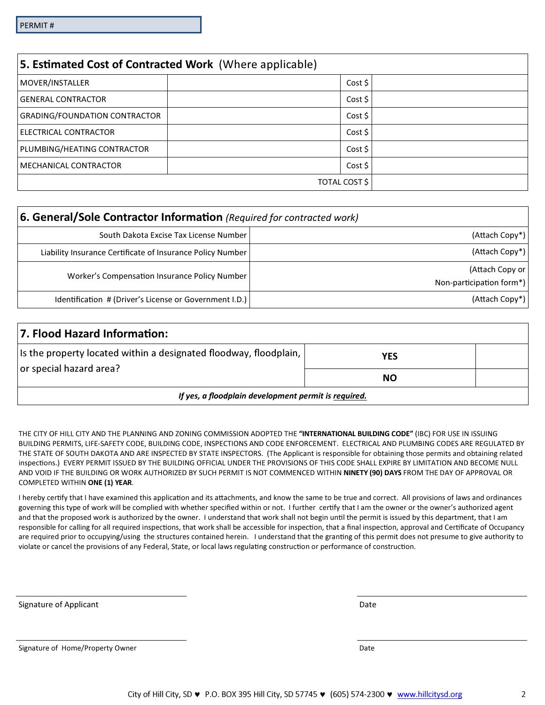| 5. Estimated Cost of Contracted Work (Where applicable) |               |
|---------------------------------------------------------|---------------|
| MOVER/INSTALLER                                         | Cost \$       |
| <b>GENERAL CONTRACTOR</b>                               | Cost \$       |
| <b>GRADING/FOUNDATION CONTRACTOR</b>                    | Cost \$       |
| ELECTRICAL CONTRACTOR                                   | Cost \$       |
| PLUMBING/HEATING CONTRACTOR                             | Cost \$       |
| MECHANICAL CONTRACTOR                                   | Cost \$       |
|                                                         | TOTAL COST \$ |

| 6. General/Sole Contractor Information (Required for contracted work) |                          |
|-----------------------------------------------------------------------|--------------------------|
| South Dakota Excise Tax License Number                                | (Attach Copy*)           |
| Liability Insurance Certificate of Insurance Policy Number            | (Attach Copy*)           |
| Worker's Compensation Insurance Policy Number                         | (Attach Copy or          |
|                                                                       | Non-participation form*) |
| Identification # (Driver's License or Government I.D.)                | (Attach Copy*)           |

| 7. Flood Hazard Information:                                      |     |  |
|-------------------------------------------------------------------|-----|--|
| Is the property located within a designated floodway, floodplain, | YES |  |
| or special hazard area?                                           | NΟ  |  |
| If yes, a floodplain development permit is required.              |     |  |

THE CITY OF HILL CITY AND THE PLANNING AND ZONING COMMISSION ADOPTED THE "INTERNATIONAL BUILDING CODE" (IBC) FOR USE IN ISSUING BUILDING PERMITS, LIFE-SAFETY CODE, BUILDING CODE, INSPECTIONS AND CODE ENFORCEMENT. ELECTRICAL AND PLUMBING CODES ARE REGULATED BY THE STATE OF SOUTH DAKOTA AND ARE INSPECTED BY STATE INSPECTORS. (The Applicant is responsible for obtaining those permits and obtaining related inspections.) EVERY PERMIT ISSUED BY THE BUILDING OFFICIAL UNDER THE PROVISIONS OF THIS CODE SHALL EXPIRE BY LIMITATION AND BECOME NULL AND VOID IF THE BUILDING OR WORK AUTHORIZED BY SUCH PERMIT IS NOT COMMENCED WITHIN NINETY (90) DAYS FROM THE DAY OF APPROVAL OR COMPLETED WITHIN ONE (1) YEAR.

I hereby certify that I have examined this application and its attachments, and know the same to be true and correct. All provisions of laws and ordinances governing this type of work will be complied with whether specified within or not. I further certify that I am the owner or the owner's authorized agent and that the proposed work is authorized by the owner. I understand that work shall not begin until the permit is issued by this department, that I am responsible for calling for all required inspections, that work shall be accessible for inspection, that a final inspection, approval and Certificate of Occupancy are required prior to occupying/using the structures contained herein. I understand that the granting of this permit does not presume to give authority to violate or cancel the provisions of any Federal, State, or local laws regulating construction or performance of construction.

Signature of Applicant Date of Applicant Date of Applicant Date of Applicant Date of Applicant Date of Applicant Date of Applicant Date of Applicant Date of Applicant Date of Applicant Date of Applicant Date of Applicant D

Signature of Home/Property Owner Date Communication of the United States of Date Date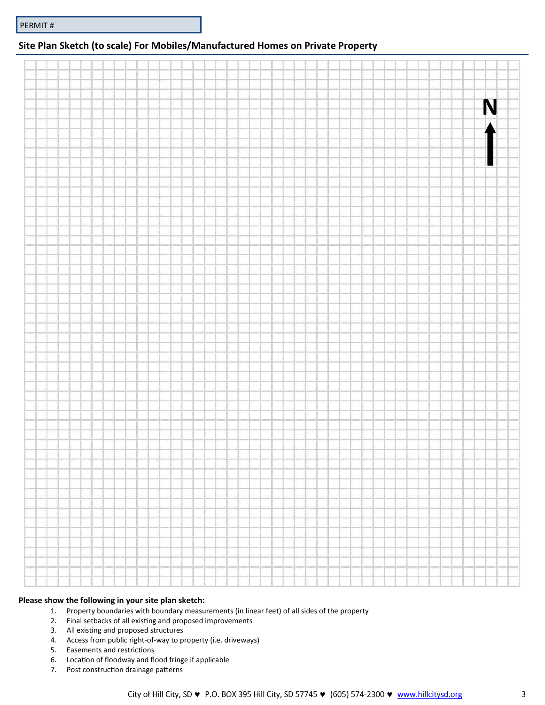#### Site Plan Sketch (to scale) For Mobiles/Manufactured Homes on Private Property

|  |  |  |  |  |  |  |  |  |  |  |  |  |  |  |  | N |  |
|--|--|--|--|--|--|--|--|--|--|--|--|--|--|--|--|---|--|
|  |  |  |  |  |  |  |  |  |  |  |  |  |  |  |  |   |  |
|  |  |  |  |  |  |  |  |  |  |  |  |  |  |  |  |   |  |
|  |  |  |  |  |  |  |  |  |  |  |  |  |  |  |  |   |  |
|  |  |  |  |  |  |  |  |  |  |  |  |  |  |  |  |   |  |
|  |  |  |  |  |  |  |  |  |  |  |  |  |  |  |  |   |  |
|  |  |  |  |  |  |  |  |  |  |  |  |  |  |  |  |   |  |
|  |  |  |  |  |  |  |  |  |  |  |  |  |  |  |  | ł |  |
|  |  |  |  |  |  |  |  |  |  |  |  |  |  |  |  |   |  |
|  |  |  |  |  |  |  |  |  |  |  |  |  |  |  |  |   |  |
|  |  |  |  |  |  |  |  |  |  |  |  |  |  |  |  |   |  |
|  |  |  |  |  |  |  |  |  |  |  |  |  |  |  |  |   |  |
|  |  |  |  |  |  |  |  |  |  |  |  |  |  |  |  |   |  |
|  |  |  |  |  |  |  |  |  |  |  |  |  |  |  |  |   |  |
|  |  |  |  |  |  |  |  |  |  |  |  |  |  |  |  |   |  |
|  |  |  |  |  |  |  |  |  |  |  |  |  |  |  |  |   |  |
|  |  |  |  |  |  |  |  |  |  |  |  |  |  |  |  |   |  |
|  |  |  |  |  |  |  |  |  |  |  |  |  |  |  |  |   |  |
|  |  |  |  |  |  |  |  |  |  |  |  |  |  |  |  |   |  |
|  |  |  |  |  |  |  |  |  |  |  |  |  |  |  |  |   |  |
|  |  |  |  |  |  |  |  |  |  |  |  |  |  |  |  |   |  |
|  |  |  |  |  |  |  |  |  |  |  |  |  |  |  |  |   |  |
|  |  |  |  |  |  |  |  |  |  |  |  |  |  |  |  |   |  |
|  |  |  |  |  |  |  |  |  |  |  |  |  |  |  |  |   |  |
|  |  |  |  |  |  |  |  |  |  |  |  |  |  |  |  |   |  |
|  |  |  |  |  |  |  |  |  |  |  |  |  |  |  |  |   |  |
|  |  |  |  |  |  |  |  |  |  |  |  |  |  |  |  |   |  |
|  |  |  |  |  |  |  |  |  |  |  |  |  |  |  |  |   |  |
|  |  |  |  |  |  |  |  |  |  |  |  |  |  |  |  |   |  |
|  |  |  |  |  |  |  |  |  |  |  |  |  |  |  |  |   |  |
|  |  |  |  |  |  |  |  |  |  |  |  |  |  |  |  |   |  |
|  |  |  |  |  |  |  |  |  |  |  |  |  |  |  |  |   |  |
|  |  |  |  |  |  |  |  |  |  |  |  |  |  |  |  |   |  |
|  |  |  |  |  |  |  |  |  |  |  |  |  |  |  |  |   |  |
|  |  |  |  |  |  |  |  |  |  |  |  |  |  |  |  |   |  |
|  |  |  |  |  |  |  |  |  |  |  |  |  |  |  |  |   |  |
|  |  |  |  |  |  |  |  |  |  |  |  |  |  |  |  |   |  |
|  |  |  |  |  |  |  |  |  |  |  |  |  |  |  |  |   |  |
|  |  |  |  |  |  |  |  |  |  |  |  |  |  |  |  |   |  |
|  |  |  |  |  |  |  |  |  |  |  |  |  |  |  |  |   |  |
|  |  |  |  |  |  |  |  |  |  |  |  |  |  |  |  |   |  |
|  |  |  |  |  |  |  |  |  |  |  |  |  |  |  |  |   |  |
|  |  |  |  |  |  |  |  |  |  |  |  |  |  |  |  |   |  |
|  |  |  |  |  |  |  |  |  |  |  |  |  |  |  |  |   |  |
|  |  |  |  |  |  |  |  |  |  |  |  |  |  |  |  |   |  |
|  |  |  |  |  |  |  |  |  |  |  |  |  |  |  |  |   |  |
|  |  |  |  |  |  |  |  |  |  |  |  |  |  |  |  |   |  |
|  |  |  |  |  |  |  |  |  |  |  |  |  |  |  |  |   |  |
|  |  |  |  |  |  |  |  |  |  |  |  |  |  |  |  |   |  |
|  |  |  |  |  |  |  |  |  |  |  |  |  |  |  |  |   |  |
|  |  |  |  |  |  |  |  |  |  |  |  |  |  |  |  |   |  |
|  |  |  |  |  |  |  |  |  |  |  |  |  |  |  |  |   |  |
|  |  |  |  |  |  |  |  |  |  |  |  |  |  |  |  |   |  |
|  |  |  |  |  |  |  |  |  |  |  |  |  |  |  |  |   |  |
|  |  |  |  |  |  |  |  |  |  |  |  |  |  |  |  |   |  |
|  |  |  |  |  |  |  |  |  |  |  |  |  |  |  |  |   |  |
|  |  |  |  |  |  |  |  |  |  |  |  |  |  |  |  |   |  |
|  |  |  |  |  |  |  |  |  |  |  |  |  |  |  |  |   |  |
|  |  |  |  |  |  |  |  |  |  |  |  |  |  |  |  |   |  |
|  |  |  |  |  |  |  |  |  |  |  |  |  |  |  |  |   |  |
|  |  |  |  |  |  |  |  |  |  |  |  |  |  |  |  |   |  |
|  |  |  |  |  |  |  |  |  |  |  |  |  |  |  |  |   |  |
|  |  |  |  |  |  |  |  |  |  |  |  |  |  |  |  |   |  |

#### Please show the following in your site plan sketch:

- 1. Property boundaries with boundary measurements (in linear feet) of all sides of the property
- 2. Final setbacks of all existing and proposed improvements
- 3. All existing and proposed structures
- 4. Access from public right-of-way to property (i.e. driveways)
- 5. Easements and restrictions
- 6. Location of floodway and flood fringe if applicable
- 7. Post construction drainage patterns